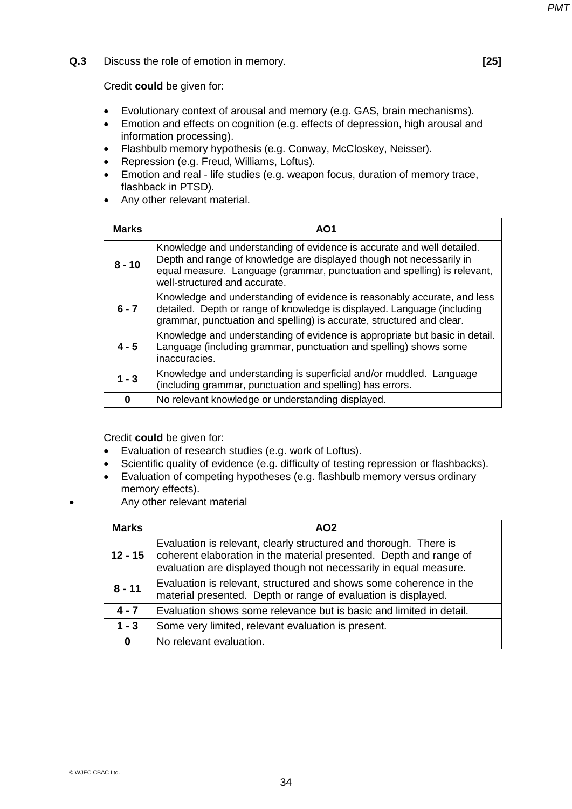**Q.3** Discuss the role of emotion in memory. **[25]** 

Credit **could** be given for:

- Evolutionary context of arousal and memory (e.g. GAS, brain mechanisms).
- Emotion and effects on cognition (e.g. effects of depression, high arousal and information processing).
- Flashbulb memory hypothesis (e.g. Conway, McCloskey, Neisser).
- Repression (e.g. Freud, Williams, Loftus).
- Emotion and real life studies (e.g. weapon focus, duration of memory trace, flashback in PTSD).
- Any other relevant material.

| <b>Marks</b> | AO1                                                                                                                                                                                                                                                         |
|--------------|-------------------------------------------------------------------------------------------------------------------------------------------------------------------------------------------------------------------------------------------------------------|
| $8 - 10$     | Knowledge and understanding of evidence is accurate and well detailed.<br>Depth and range of knowledge are displayed though not necessarily in<br>equal measure. Language (grammar, punctuation and spelling) is relevant,<br>well-structured and accurate. |
| $6 - 7$      | Knowledge and understanding of evidence is reasonably accurate, and less<br>detailed. Depth or range of knowledge is displayed. Language (including<br>grammar, punctuation and spelling) is accurate, structured and clear.                                |
| $4 - 5$      | Knowledge and understanding of evidence is appropriate but basic in detail.<br>Language (including grammar, punctuation and spelling) shows some<br>inaccuracies.                                                                                           |
| $1 - 3$      | Knowledge and understanding is superficial and/or muddled. Language<br>(including grammar, punctuation and spelling) has errors.                                                                                                                            |
| 0            | No relevant knowledge or understanding displayed.                                                                                                                                                                                                           |

- Evaluation of research studies (e.g. work of Loftus).
- Scientific quality of evidence (e.g. difficulty of testing repression or flashbacks).
- Evaluation of competing hypotheses (e.g. flashbulb memory versus ordinary memory effects).
- Any other relevant material

| <b>Marks</b> | AO2                                                                                                                                                                                                          |
|--------------|--------------------------------------------------------------------------------------------------------------------------------------------------------------------------------------------------------------|
| $12 - 15$    | Evaluation is relevant, clearly structured and thorough. There is<br>coherent elaboration in the material presented. Depth and range of<br>evaluation are displayed though not necessarily in equal measure. |
| $8 - 11$     | Evaluation is relevant, structured and shows some coherence in the<br>material presented. Depth or range of evaluation is displayed.                                                                         |
| $4 - 7$      | Evaluation shows some relevance but is basic and limited in detail.                                                                                                                                          |
| $1 - 3$      | Some very limited, relevant evaluation is present.                                                                                                                                                           |
| $\bf{0}$     | No relevant evaluation.                                                                                                                                                                                      |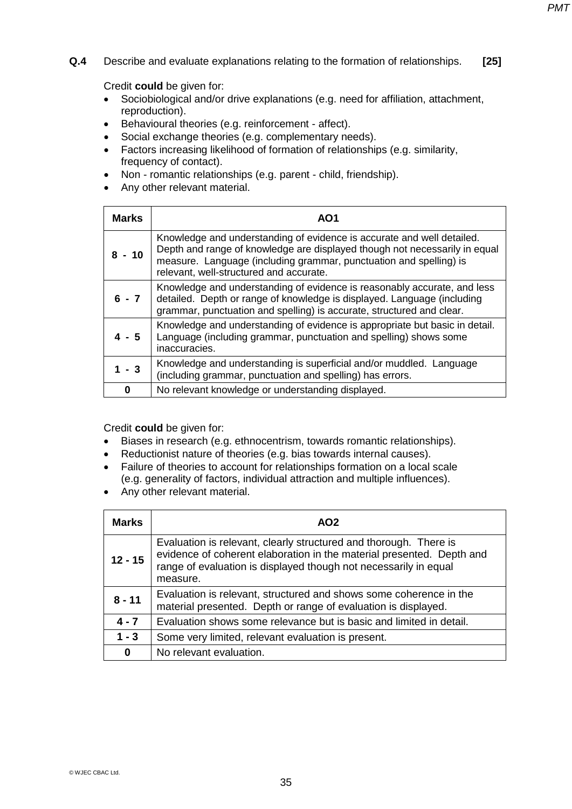**Q.4** Describe and evaluate explanations relating to the formation of relationships. **[25]** 

Credit **could** be given for:

- Sociobiological and/or drive explanations (e.g. need for affiliation, attachment, reproduction).
- Behavioural theories (e.g. reinforcement affect).
- Social exchange theories (e.g. complementary needs).
- Factors increasing likelihood of formation of relationships (e.g. similarity, frequency of contact).
- Non romantic relationships (e.g. parent child, friendship).
- Any other relevant material.

| <b>Marks</b> | AO1                                                                                                                                                                                                                                                                   |
|--------------|-----------------------------------------------------------------------------------------------------------------------------------------------------------------------------------------------------------------------------------------------------------------------|
| $8 - 10$     | Knowledge and understanding of evidence is accurate and well detailed.<br>Depth and range of knowledge are displayed though not necessarily in equal<br>measure. Language (including grammar, punctuation and spelling) is<br>relevant, well-structured and accurate. |
| $6 - 7$      | Knowledge and understanding of evidence is reasonably accurate, and less<br>detailed. Depth or range of knowledge is displayed. Language (including<br>grammar, punctuation and spelling) is accurate, structured and clear.                                          |
| $4 - 5$      | Knowledge and understanding of evidence is appropriate but basic in detail.<br>Language (including grammar, punctuation and spelling) shows some<br>inaccuracies.                                                                                                     |
| - 3          | Knowledge and understanding is superficial and/or muddled. Language<br>(including grammar, punctuation and spelling) has errors.                                                                                                                                      |
| 0            | No relevant knowledge or understanding displayed.                                                                                                                                                                                                                     |

- Biases in research (e.g. ethnocentrism, towards romantic relationships).
- Reductionist nature of theories (e.g. bias towards internal causes).
- Failure of theories to account for relationships formation on a local scale (e.g. generality of factors, individual attraction and multiple influences).
- Any other relevant material.

| <b>Marks</b> | AO <sub>2</sub>                                                                                                                                                                                                            |
|--------------|----------------------------------------------------------------------------------------------------------------------------------------------------------------------------------------------------------------------------|
| $12 - 15$    | Evaluation is relevant, clearly structured and thorough. There is<br>evidence of coherent elaboration in the material presented. Depth and<br>range of evaluation is displayed though not necessarily in equal<br>measure. |
| $8 - 11$     | Evaluation is relevant, structured and shows some coherence in the<br>material presented. Depth or range of evaluation is displayed.                                                                                       |
| $4 - 7$      | Evaluation shows some relevance but is basic and limited in detail.                                                                                                                                                        |
| $1 - 3$      | Some very limited, relevant evaluation is present.                                                                                                                                                                         |
| 0            | No relevant evaluation.                                                                                                                                                                                                    |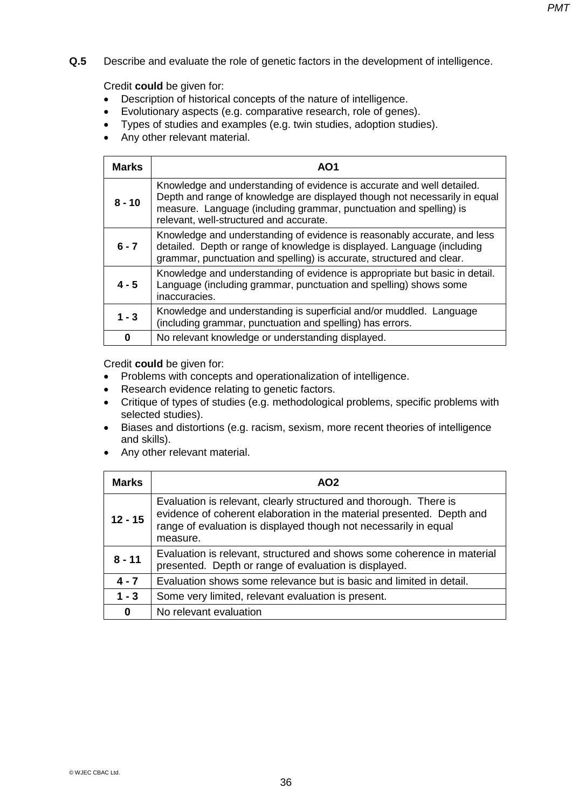**Q.5** Describe and evaluate the role of genetic factors in the development of intelligence. **[25]** 

# Credit **could** be given for:

- Description of historical concepts of the nature of intelligence.
- Evolutionary aspects (e.g. comparative research, role of genes).
- Types of studies and examples (e.g. twin studies, adoption studies).
- Any other relevant material.

| <b>Marks</b> | AO1                                                                                                                                                                                                                                                                   |
|--------------|-----------------------------------------------------------------------------------------------------------------------------------------------------------------------------------------------------------------------------------------------------------------------|
| $8 - 10$     | Knowledge and understanding of evidence is accurate and well detailed.<br>Depth and range of knowledge are displayed though not necessarily in equal<br>measure. Language (including grammar, punctuation and spelling) is<br>relevant, well-structured and accurate. |
| $6 - 7$      | Knowledge and understanding of evidence is reasonably accurate, and less<br>detailed. Depth or range of knowledge is displayed. Language (including<br>grammar, punctuation and spelling) is accurate, structured and clear.                                          |
| $4 - 5$      | Knowledge and understanding of evidence is appropriate but basic in detail.<br>Language (including grammar, punctuation and spelling) shows some<br>inaccuracies.                                                                                                     |
| $1 - 3$      | Knowledge and understanding is superficial and/or muddled. Language<br>(including grammar, punctuation and spelling) has errors.                                                                                                                                      |
| 0            | No relevant knowledge or understanding displayed.                                                                                                                                                                                                                     |

- Problems with concepts and operationalization of intelligence.
- Research evidence relating to genetic factors.
- Critique of types of studies (e.g. methodological problems, specific problems with selected studies).
- Biases and distortions (e.g. racism, sexism, more recent theories of intelligence and skills).
- Any other relevant material.

| <b>Marks</b> | AO <sub>2</sub>                                                                                                                                                                                                            |
|--------------|----------------------------------------------------------------------------------------------------------------------------------------------------------------------------------------------------------------------------|
| $12 - 15$    | Evaluation is relevant, clearly structured and thorough. There is<br>evidence of coherent elaboration in the material presented. Depth and<br>range of evaluation is displayed though not necessarily in equal<br>measure. |
| $8 - 11$     | Evaluation is relevant, structured and shows some coherence in material<br>presented. Depth or range of evaluation is displayed.                                                                                           |
| $4 - 7$      | Evaluation shows some relevance but is basic and limited in detail.                                                                                                                                                        |
| $1 - 3$      | Some very limited, relevant evaluation is present.                                                                                                                                                                         |
| 0            | No relevant evaluation                                                                                                                                                                                                     |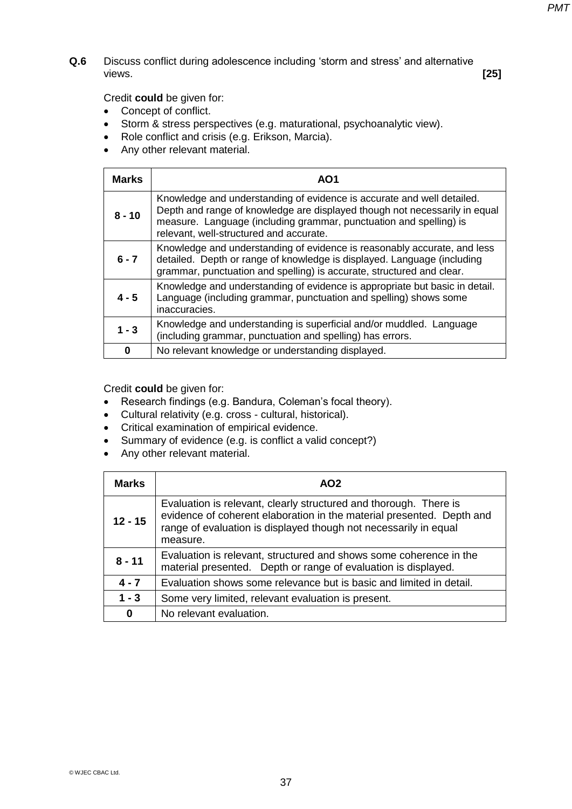**Q.6** Discuss conflict during adolescence including 'storm and stress' and alternative views. views. **[25]** 

Credit **could** be given for:

- Concept of conflict.
- Storm & stress perspectives (e.g. maturational, psychoanalytic view).
- Role conflict and crisis (e.g. Erikson, Marcia).
- Any other relevant material.

| <b>Marks</b> | AO1                                                                                                                                                                                                                                                                   |
|--------------|-----------------------------------------------------------------------------------------------------------------------------------------------------------------------------------------------------------------------------------------------------------------------|
| $8 - 10$     | Knowledge and understanding of evidence is accurate and well detailed.<br>Depth and range of knowledge are displayed though not necessarily in equal<br>measure. Language (including grammar, punctuation and spelling) is<br>relevant, well-structured and accurate. |
| $6 - 7$      | Knowledge and understanding of evidence is reasonably accurate, and less<br>detailed. Depth or range of knowledge is displayed. Language (including<br>grammar, punctuation and spelling) is accurate, structured and clear.                                          |
| $4 - 5$      | Knowledge and understanding of evidence is appropriate but basic in detail.<br>Language (including grammar, punctuation and spelling) shows some<br>inaccuracies.                                                                                                     |
| $1 - 3$      | Knowledge and understanding is superficial and/or muddled. Language<br>(including grammar, punctuation and spelling) has errors.                                                                                                                                      |
| $\bf{0}$     | No relevant knowledge or understanding displayed.                                                                                                                                                                                                                     |

- Research findings (e.g. Bandura, Coleman's focal theory).
- Cultural relativity (e.g. cross cultural, historical).
- Critical examination of empirical evidence.
- Summary of evidence (e.g. is conflict a valid concept?)
- Any other relevant material.

| Marks     | AO <sub>2</sub>                                                                                                                                                                                                            |
|-----------|----------------------------------------------------------------------------------------------------------------------------------------------------------------------------------------------------------------------------|
| $12 - 15$ | Evaluation is relevant, clearly structured and thorough. There is<br>evidence of coherent elaboration in the material presented. Depth and<br>range of evaluation is displayed though not necessarily in equal<br>measure. |
| $8 - 11$  | Evaluation is relevant, structured and shows some coherence in the<br>material presented. Depth or range of evaluation is displayed.                                                                                       |
| $4 - 7$   | Evaluation shows some relevance but is basic and limited in detail.                                                                                                                                                        |
| $1 - 3$   | Some very limited, relevant evaluation is present.                                                                                                                                                                         |
| $\bf{0}$  | No relevant evaluation.                                                                                                                                                                                                    |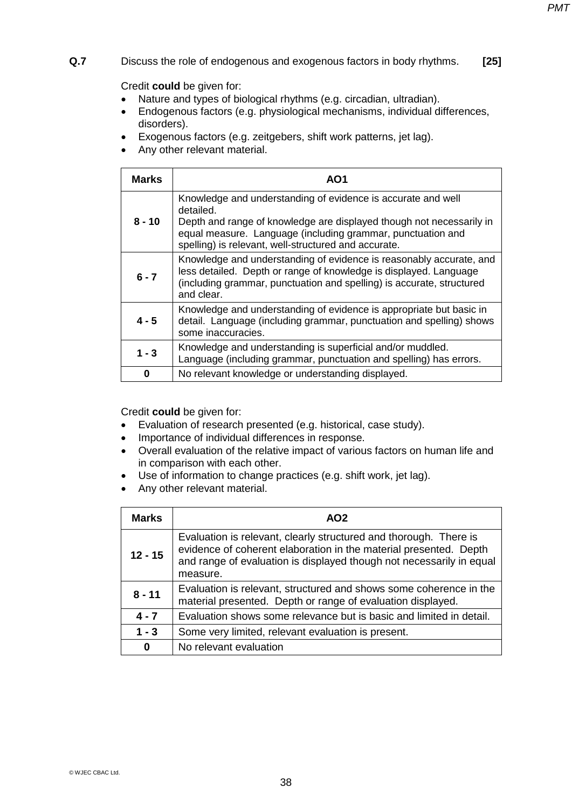# **Q.7** Discuss the role of endogenous and exogenous factors in body rhythms. **[25]**

Credit **could** be given for:

- Nature and types of biological rhythms (e.g. circadian, ultradian).
- Endogenous factors (e.g. physiological mechanisms, individual differences, disorders).
- Exogenous factors (e.g. zeitgebers, shift work patterns, jet lag).
- Any other relevant material.

| <b>Marks</b> | AO1                                                                                                                                                                                                                                                                      |
|--------------|--------------------------------------------------------------------------------------------------------------------------------------------------------------------------------------------------------------------------------------------------------------------------|
| $8 - 10$     | Knowledge and understanding of evidence is accurate and well<br>detailed.<br>Depth and range of knowledge are displayed though not necessarily in<br>equal measure. Language (including grammar, punctuation and<br>spelling) is relevant, well-structured and accurate. |
| $6 - 7$      | Knowledge and understanding of evidence is reasonably accurate, and<br>less detailed. Depth or range of knowledge is displayed. Language<br>(including grammar, punctuation and spelling) is accurate, structured<br>and clear.                                          |
| $4 - 5$      | Knowledge and understanding of evidence is appropriate but basic in<br>detail. Language (including grammar, punctuation and spelling) shows<br>some inaccuracies.                                                                                                        |
| $1 - 3$      | Knowledge and understanding is superficial and/or muddled.<br>Language (including grammar, punctuation and spelling) has errors.                                                                                                                                         |
| 0            | No relevant knowledge or understanding displayed.                                                                                                                                                                                                                        |

- Evaluation of research presented (e.g. historical, case study).
- Importance of individual differences in response.
- Overall evaluation of the relative impact of various factors on human life and in comparison with each other.
- Use of information to change practices (e.g. shift work, jet lag).
- Any other relevant material.

| <b>Marks</b> | AO2                                                                                                                                                                                                                        |
|--------------|----------------------------------------------------------------------------------------------------------------------------------------------------------------------------------------------------------------------------|
| $12 - 15$    | Evaluation is relevant, clearly structured and thorough. There is<br>evidence of coherent elaboration in the material presented. Depth<br>and range of evaluation is displayed though not necessarily in equal<br>measure. |
| $8 - 11$     | Evaluation is relevant, structured and shows some coherence in the<br>material presented. Depth or range of evaluation displayed.                                                                                          |
| $4 - 7$      | Evaluation shows some relevance but is basic and limited in detail.                                                                                                                                                        |
| $1 - 3$      | Some very limited, relevant evaluation is present.                                                                                                                                                                         |
| 0            | No relevant evaluation                                                                                                                                                                                                     |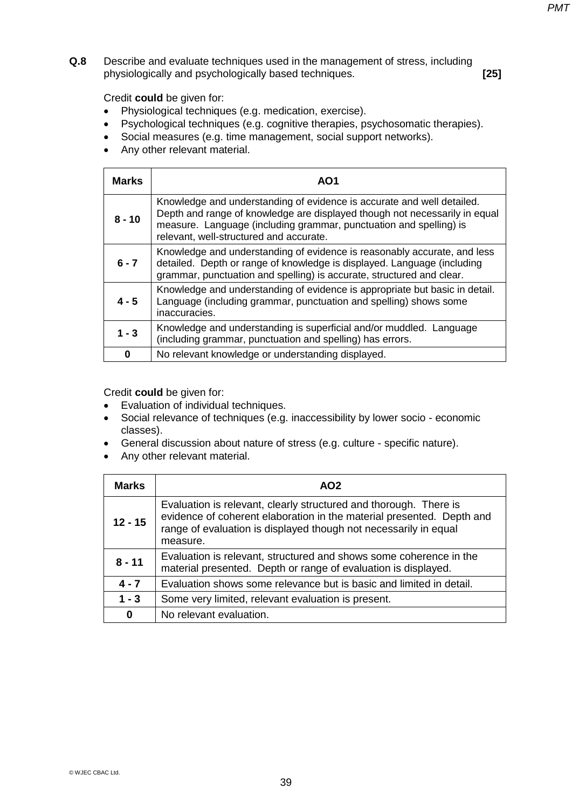**Q.8** Describe and evaluate techniques used in the management of stress, including physiologically and psychologically based techniques. **[25]** 

Credit **could** be given for:

- Physiological techniques (e.g. medication, exercise).
- Psychological techniques (e.g. cognitive therapies, psychosomatic therapies).
- Social measures (e.g. time management, social support networks).
- Any other relevant material.

| <b>Marks</b> | AO1                                                                                                                                                                                                                                                                   |
|--------------|-----------------------------------------------------------------------------------------------------------------------------------------------------------------------------------------------------------------------------------------------------------------------|
| $8 - 10$     | Knowledge and understanding of evidence is accurate and well detailed.<br>Depth and range of knowledge are displayed though not necessarily in equal<br>measure. Language (including grammar, punctuation and spelling) is<br>relevant, well-structured and accurate. |
| $6 - 7$      | Knowledge and understanding of evidence is reasonably accurate, and less<br>detailed. Depth or range of knowledge is displayed. Language (including<br>grammar, punctuation and spelling) is accurate, structured and clear.                                          |
| $4 - 5$      | Knowledge and understanding of evidence is appropriate but basic in detail.<br>Language (including grammar, punctuation and spelling) shows some<br>inaccuracies.                                                                                                     |
| $1 - 3$      | Knowledge and understanding is superficial and/or muddled. Language<br>(including grammar, punctuation and spelling) has errors.                                                                                                                                      |
| 0            | No relevant knowledge or understanding displayed.                                                                                                                                                                                                                     |

- Evaluation of individual techniques.
- Social relevance of techniques (e.g. inaccessibility by lower socio economic classes).
- General discussion about nature of stress (e.g. culture specific nature).
- Any other relevant material.

| <b>Marks</b> | AO <sub>2</sub>                                                                                                                                                                                                            |
|--------------|----------------------------------------------------------------------------------------------------------------------------------------------------------------------------------------------------------------------------|
| $12 - 15$    | Evaluation is relevant, clearly structured and thorough. There is<br>evidence of coherent elaboration in the material presented. Depth and<br>range of evaluation is displayed though not necessarily in equal<br>measure. |
| $8 - 11$     | Evaluation is relevant, structured and shows some coherence in the<br>material presented. Depth or range of evaluation is displayed.                                                                                       |
| $4 - 7$      | Evaluation shows some relevance but is basic and limited in detail.                                                                                                                                                        |
| $1 - 3$      | Some very limited, relevant evaluation is present.                                                                                                                                                                         |
| $\bf{0}$     | No relevant evaluation.                                                                                                                                                                                                    |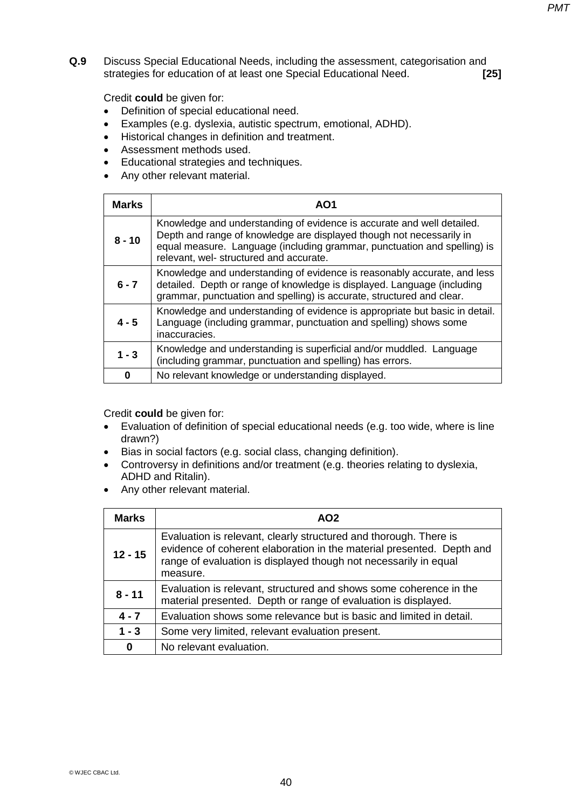**Q.9** Discuss Special Educational Needs, including the assessment, categorisation and strategies for education of at least one Special Educational Need. **[25]** 

Credit **could** be given for:

- Definition of special educational need.
- Examples (e.g. dyslexia, autistic spectrum, emotional, ADHD).
- Historical changes in definition and treatment.
- Assessment methods used.
- **•** Educational strategies and techniques.
- Any other relevant material.

| <b>Marks</b> | AO1                                                                                                                                                                                                                                                                   |
|--------------|-----------------------------------------------------------------------------------------------------------------------------------------------------------------------------------------------------------------------------------------------------------------------|
| $8 - 10$     | Knowledge and understanding of evidence is accurate and well detailed.<br>Depth and range of knowledge are displayed though not necessarily in<br>equal measure. Language (including grammar, punctuation and spelling) is<br>relevant, wel- structured and accurate. |
| $6 - 7$      | Knowledge and understanding of evidence is reasonably accurate, and less<br>detailed. Depth or range of knowledge is displayed. Language (including<br>grammar, punctuation and spelling) is accurate, structured and clear.                                          |
| $4 - 5$      | Knowledge and understanding of evidence is appropriate but basic in detail.<br>Language (including grammar, punctuation and spelling) shows some<br>inaccuracies.                                                                                                     |
| $1 - 3$      | Knowledge and understanding is superficial and/or muddled. Language<br>(including grammar, punctuation and spelling) has errors.                                                                                                                                      |
| 0            | No relevant knowledge or understanding displayed.                                                                                                                                                                                                                     |

- Evaluation of definition of special educational needs (e.g. too wide, where is line drawn?)
- Bias in social factors (e.g. social class, changing definition).
- Controversy in definitions and/or treatment (e.g. theories relating to dyslexia, ADHD and Ritalin).
- Any other relevant material.

| <b>Marks</b> | AO <sub>2</sub>                                                                                                                                                                                                            |
|--------------|----------------------------------------------------------------------------------------------------------------------------------------------------------------------------------------------------------------------------|
| $12 - 15$    | Evaluation is relevant, clearly structured and thorough. There is<br>evidence of coherent elaboration in the material presented. Depth and<br>range of evaluation is displayed though not necessarily in equal<br>measure. |
| $8 - 11$     | Evaluation is relevant, structured and shows some coherence in the<br>material presented. Depth or range of evaluation is displayed.                                                                                       |
| $4 - 7$      | Evaluation shows some relevance but is basic and limited in detail.                                                                                                                                                        |
| $1 - 3$      | Some very limited, relevant evaluation present.                                                                                                                                                                            |
| 0            | No relevant evaluation.                                                                                                                                                                                                    |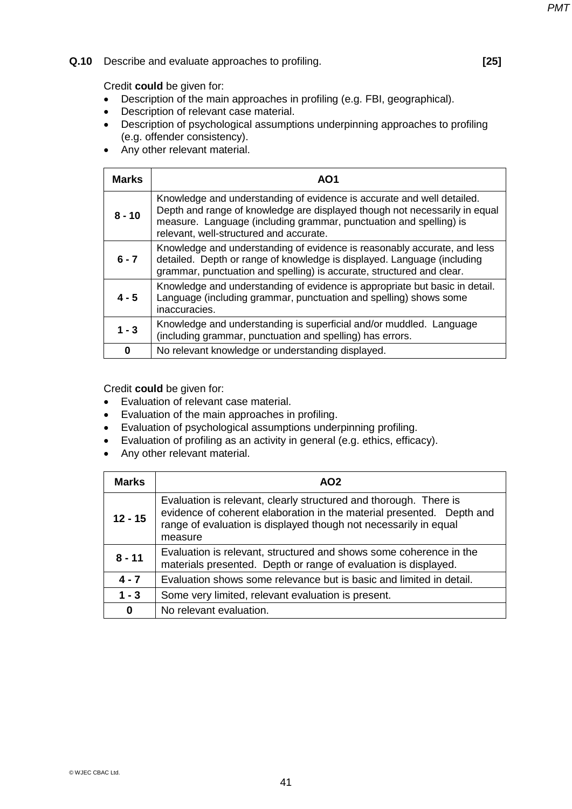## **Q.10** Describe and evaluate approaches to profiling. **[25]**

## Credit **could** be given for:

- Description of the main approaches in profiling (e.g. FBI, geographical).
- Description of relevant case material.
- Description of psychological assumptions underpinning approaches to profiling (e.g. offender consistency).
- Any other relevant material.

| <b>Marks</b> | AO1                                                                                                                                                                                                                                                                   |
|--------------|-----------------------------------------------------------------------------------------------------------------------------------------------------------------------------------------------------------------------------------------------------------------------|
| $8 - 10$     | Knowledge and understanding of evidence is accurate and well detailed.<br>Depth and range of knowledge are displayed though not necessarily in equal<br>measure. Language (including grammar, punctuation and spelling) is<br>relevant, well-structured and accurate. |
| $6 - 7$      | Knowledge and understanding of evidence is reasonably accurate, and less<br>detailed. Depth or range of knowledge is displayed. Language (including<br>grammar, punctuation and spelling) is accurate, structured and clear.                                          |
| $4 - 5$      | Knowledge and understanding of evidence is appropriate but basic in detail.<br>Language (including grammar, punctuation and spelling) shows some<br>inaccuracies.                                                                                                     |
| $1 - 3$      | Knowledge and understanding is superficial and/or muddled. Language<br>(including grammar, punctuation and spelling) has errors.                                                                                                                                      |
| 0            | No relevant knowledge or understanding displayed.                                                                                                                                                                                                                     |

- Evaluation of relevant case material.
- Evaluation of the main approaches in profiling.
- Evaluation of psychological assumptions underpinning profiling.
- Evaluation of profiling as an activity in general (e.g. ethics, efficacy).
- Any other relevant material.

| <b>Marks</b> | AO <sub>2</sub>                                                                                                                                                                                                           |
|--------------|---------------------------------------------------------------------------------------------------------------------------------------------------------------------------------------------------------------------------|
| $12 - 15$    | Evaluation is relevant, clearly structured and thorough. There is<br>evidence of coherent elaboration in the material presented. Depth and<br>range of evaluation is displayed though not necessarily in equal<br>measure |
| $8 - 11$     | Evaluation is relevant, structured and shows some coherence in the<br>materials presented. Depth or range of evaluation is displayed.                                                                                     |
| $4 - 7$      | Evaluation shows some relevance but is basic and limited in detail.                                                                                                                                                       |
| $1 - 3$      | Some very limited, relevant evaluation is present.                                                                                                                                                                        |
| $\bf{0}$     | No relevant evaluation.                                                                                                                                                                                                   |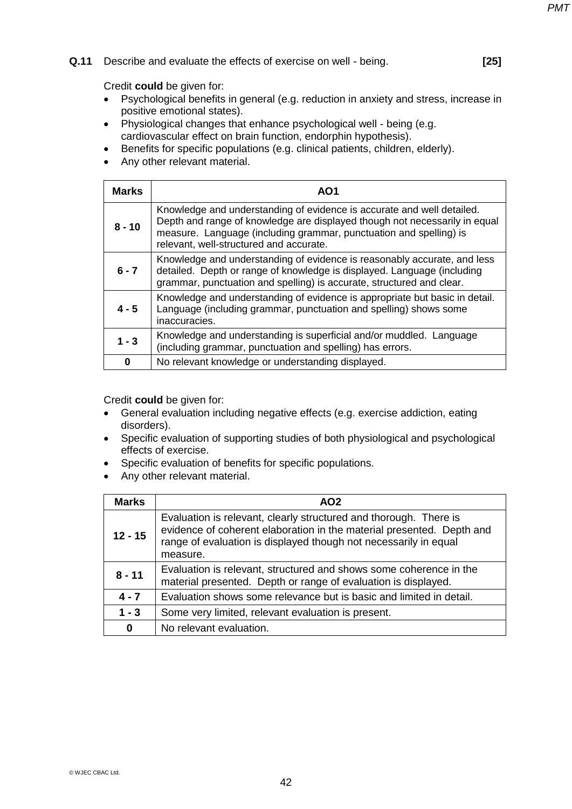#### **Q.11** Describe and evaluate the effects of exercise on well - being. **[25]**

Credit **could** be given for:

- Psychological benefits in general (e.g. reduction in anxiety and stress, increase in positive emotional states).
- Physiological changes that enhance psychological well being (e.g. cardiovascular effect on brain function, endorphin hypothesis).
- Benefits for specific populations (e.g. clinical patients, children, elderly).
- Any other relevant material.

| <b>Marks</b> | AO1                                                                                                                                                                                                                                                                   |
|--------------|-----------------------------------------------------------------------------------------------------------------------------------------------------------------------------------------------------------------------------------------------------------------------|
| $8 - 10$     | Knowledge and understanding of evidence is accurate and well detailed.<br>Depth and range of knowledge are displayed though not necessarily in equal<br>measure. Language (including grammar, punctuation and spelling) is<br>relevant, well-structured and accurate. |
| $6 - 7$      | Knowledge and understanding of evidence is reasonably accurate, and less<br>detailed. Depth or range of knowledge is displayed. Language (including<br>grammar, punctuation and spelling) is accurate, structured and clear.                                          |
| $4 - 5$      | Knowledge and understanding of evidence is appropriate but basic in detail.<br>Language (including grammar, punctuation and spelling) shows some<br>inaccuracies.                                                                                                     |
| $1 - 3$      | Knowledge and understanding is superficial and/or muddled. Language<br>(including grammar, punctuation and spelling) has errors.                                                                                                                                      |
| 0            | No relevant knowledge or understanding displayed.                                                                                                                                                                                                                     |

- General evaluation including negative effects (e.g. exercise addiction, eating disorders).
- Specific evaluation of supporting studies of both physiological and psychological effects of exercise.
- Specific evaluation of benefits for specific populations.
- Any other relevant material.

| <b>Marks</b> | AO <sub>2</sub>                                                                                                                                                                                                            |
|--------------|----------------------------------------------------------------------------------------------------------------------------------------------------------------------------------------------------------------------------|
| $12 - 15$    | Evaluation is relevant, clearly structured and thorough. There is<br>evidence of coherent elaboration in the material presented. Depth and<br>range of evaluation is displayed though not necessarily in equal<br>measure. |
| $8 - 11$     | Evaluation is relevant, structured and shows some coherence in the<br>material presented. Depth or range of evaluation is displayed.                                                                                       |
| $4 - 7$      | Evaluation shows some relevance but is basic and limited in detail.                                                                                                                                                        |
| $1 - 3$      | Some very limited, relevant evaluation is present.                                                                                                                                                                         |
| $\bf{0}$     | No relevant evaluation.                                                                                                                                                                                                    |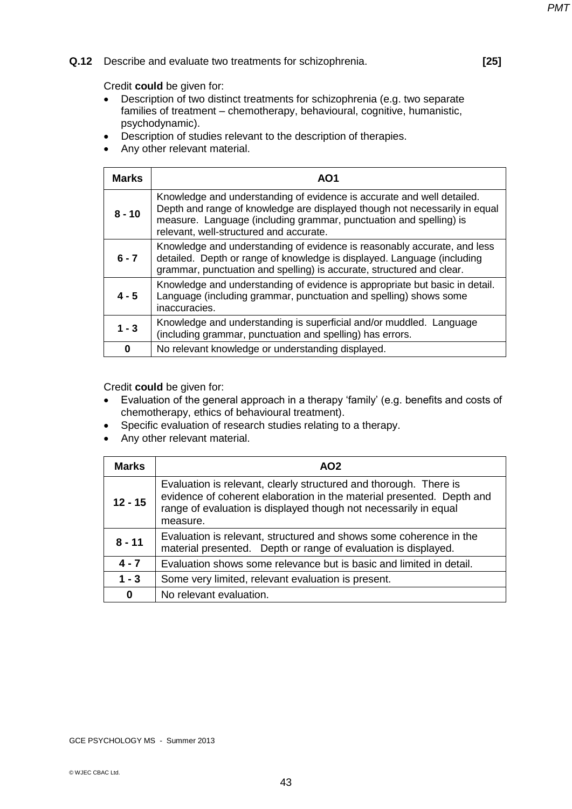## **Q.12** Describe and evaluate two treatments for schizophrenia. **[25]**

#### Credit **could** be given for:

- Description of two distinct treatments for schizophrenia (e.g. two separate families of treatment – chemotherapy, behavioural, cognitive, humanistic, psychodynamic).
- Description of studies relevant to the description of therapies.
- Any other relevant material.

| <b>Marks</b> | AO1                                                                                                                                                                                                                                                                   |
|--------------|-----------------------------------------------------------------------------------------------------------------------------------------------------------------------------------------------------------------------------------------------------------------------|
| $8 - 10$     | Knowledge and understanding of evidence is accurate and well detailed.<br>Depth and range of knowledge are displayed though not necessarily in equal<br>measure. Language (including grammar, punctuation and spelling) is<br>relevant, well-structured and accurate. |
| $6 - 7$      | Knowledge and understanding of evidence is reasonably accurate, and less<br>detailed. Depth or range of knowledge is displayed. Language (including<br>grammar, punctuation and spelling) is accurate, structured and clear.                                          |
| $4 - 5$      | Knowledge and understanding of evidence is appropriate but basic in detail.<br>Language (including grammar, punctuation and spelling) shows some<br>inaccuracies.                                                                                                     |
| $1 - 3$      | Knowledge and understanding is superficial and/or muddled. Language<br>(including grammar, punctuation and spelling) has errors.                                                                                                                                      |
| 0            | No relevant knowledge or understanding displayed.                                                                                                                                                                                                                     |

- Evaluation of the general approach in a therapy 'family' (e.g. benefits and costs of chemotherapy, ethics of behavioural treatment).
- Specific evaluation of research studies relating to a therapy.
- Any other relevant material.

| Marks     | AO <sub>2</sub>                                                                                                                                                                                                            |
|-----------|----------------------------------------------------------------------------------------------------------------------------------------------------------------------------------------------------------------------------|
| $12 - 15$ | Evaluation is relevant, clearly structured and thorough. There is<br>evidence of coherent elaboration in the material presented. Depth and<br>range of evaluation is displayed though not necessarily in equal<br>measure. |
| $8 - 11$  | Evaluation is relevant, structured and shows some coherence in the<br>material presented. Depth or range of evaluation is displayed.                                                                                       |
| $4 - 7$   | Evaluation shows some relevance but is basic and limited in detail.                                                                                                                                                        |
| $1 - 3$   | Some very limited, relevant evaluation is present.                                                                                                                                                                         |
| 0         | No relevant evaluation.                                                                                                                                                                                                    |